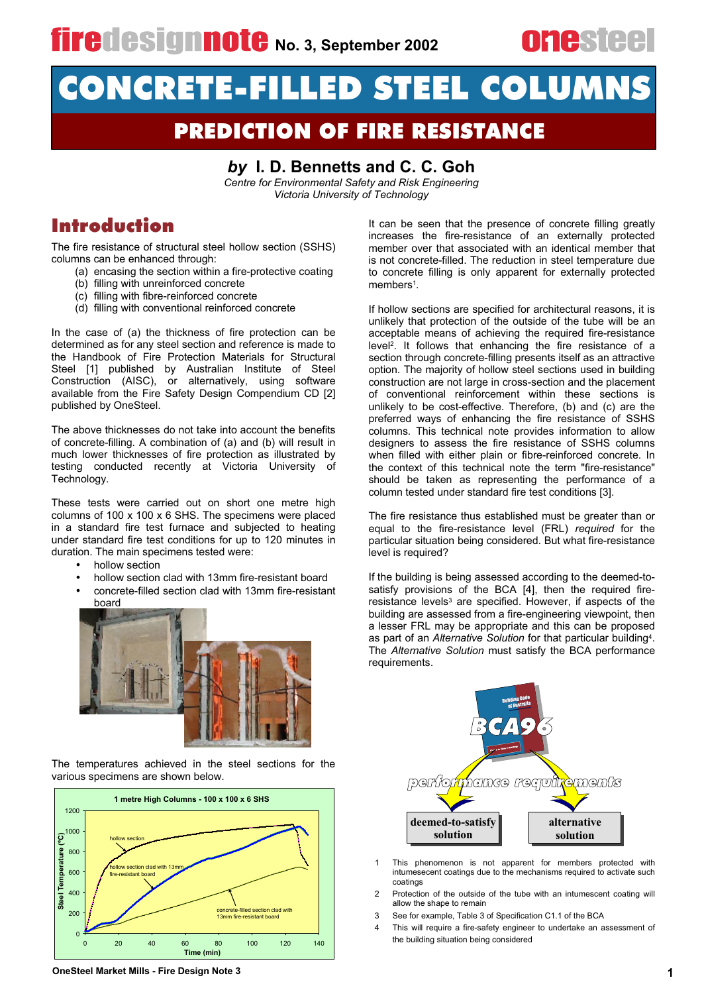# CONCRETE-FILLED STEEL COLUMNS

## **PREDICTION OF FIRE RESISTANCE**

### by I. D. Bennetts and C. C. Goh

*Centre for Environmental Safety and Risk Engineering Victoria University of Technology* 

### **Introduction**

The fire resistance of structural steel hollow section (SSHS) columns can be enhanced through:

- (a) encasing the section within a fire-protective coating
- (b) filling with unreinforced concrete
- (c) filling with fibre-reinforced concrete
- (d) filling with conventional reinforced concrete

In the case of (a) the thickness of fire protection can be determined as for any steel section and reference is made to the Handbook of Fire Protection Materials for Structural Steel [1] published by Australian Institute of Steel Construction (AISC), or alternatively, using software available from the Fire Safety Design Compendium CD [2] published by OneSteel.

The above thicknesses do not take into account the benefits of concrete-filling. A combination of (a) and (b) will result in much lower thicknesses of fire protection as illustrated by testing conducted recently at Victoria University of Technology.

These tests were carried out on short one metre high columns of  $100 \times 100 \times 6$  SHS. The specimens were placed in a standard fire test furnace and subjected to heating under standard fire test conditions for up to 120 minutes in duration. The main specimens tested were:

- hollow section
- hollow section clad with 13mm fire-resistant board
- concrete-filled section clad with 13mm fire-resistant board



The temperatures achieved in the steel sections for the various specimens are shown below.



**OneSteel Market Mills - Fire Design Note 3** 

It can be seen that the presence of concrete filling greatly increases the fire-resistance of an externally protected member over that associated with an identical member that is not concrete-filled. The reduction in steel temperature due to concrete filling is only apparent for externally protected  $m$  embers<sup>1</sup>.

If hollow sections are specified for architectural reasons, it is unlikely that protection of the outside of the tube will be an acceptable means of achieving the required fire-resistance level<sup>2</sup>. It follows that enhancing the fire resistance of a section through concrete-filling presents itself as an attractive option. The majority of hollow steel sections used in building construction are not large in cross-section and the placement of conventional reinforcement within these sections is unlikely to be cost-effective. Therefore, (b) and (c) are the preferred ways of enhancing the fire resistance of SSHS columns. This technical note provides information to allow designers to assess the fire resistance of SSHS columns when filled with either plain or fibre-reinforced concrete. In the context of this technical note the term "fire-resistance" should be taken as representing the performance of a column tested under standard fire test conditions [3].

The fire resistance thus established must be greater than or equal to the fire-resistance level (FRL) *required* for the particular situation being considered. But what fire-resistance level is required?

If the building is being assessed according to the deemed-tosatisfy provisions of the BCA [4], then the required fireresistance levels<sup>3</sup> are specified. However, if aspects of the building are assessed from a fire-engineering viewpoint, then a lesser FRL may be appropriate and this can be proposed as part of an *Alternative Solution* for that particular building<sup>4</sup>. The *Alternative Solution* must satisfy the BCA performance requirements.



- 1 This phenomenon is not apparent for members protected with intumesecent coatings due to the mechanisms required to activate such coatings
- 2 Protection of the outside of the tube with an intumescent coating will allow the shape to remain
- 3 See for example, Table 3 of Specification C1.1 of the BCA
- 4 This will require a fire-safety engineer to undertake an assessment of the building situation being considered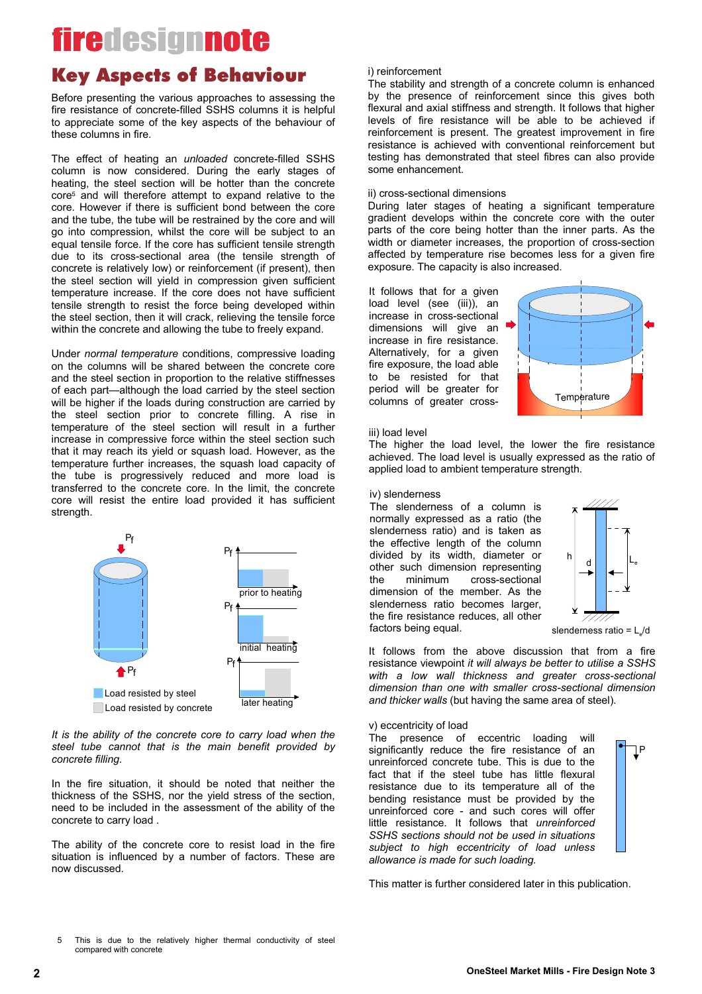### **Key Aspects of Behaviour**

Before presenting the various approaches to assessing the fire resistance of concrete-filled SSHS columns it is helpful to appreciate some of the key aspects of the behaviour of these columns in fire.

The effect of heating an *unloaded* concrete-filled SSHS column is now considered. During the early stages of heating, the steel section will be hotter than the concrete core<sup>5</sup> and will therefore attempt to expand relative to the core. However if there is sufficient bond between the core and the tube, the tube will be restrained by the core and will go into compression, whilst the core will be subject to an equal tensile force. If the core has sufficient tensile strength due to its cross-sectional area (the tensile strength of concrete is relatively low) or reinforcement (if present), then the steel section will yield in compression given sufficient temperature increase. If the core does not have sufficient tensile strength to resist the force being developed within the steel section, then it will crack, relieving the tensile force within the concrete and allowing the tube to freely expand.

Under *normal temperature* conditions, compressive loading on the columns will be shared between the concrete core and the steel section in proportion to the relative stiffnesses of each part—although the load carried by the steel section will be higher if the loads during construction are carried by the steel section prior to concrete filling. A rise in temperature of the steel section will result in a further increase in compressive force within the steel section such that it may reach its yield or squash load. However, as the temperature further increases, the squash load capacity of the tube is progressively reduced and more load is transferred to the concrete core. In the limit, the concrete core will resist the entire load provided it has sufficient strength.



*It is the ability of the concrete core to carry load when the* steel tube cannot that is the main benefit provided by  $concrete$  *filling.* 

In the fire situation, it should be noted that neither the thickness of the SSHS, nor the yield stress of the section. need to be included in the assessment of the ability of the concrete to carry load.

The ability of the concrete core to resist load in the fire situation is influenced by a number of factors. These are now discussed.

#### i) reinforcement

The stability and strength of a concrete column is enhanced by the presence of reinforcement since this gives both flexural and axial stiffness and strength. It follows that higher levels of fire resistance will be able to be achieved if reinforcement is present. The greatest improvement in fire resistance is achieved with conventional reinforcement but testing has demonstrated that steel fibres can also provide some enhancement.

#### ii) cross-sectional dimensions

During later stages of heating a significant temperature gradient develops within the concrete core with the outer parts of the core being hotter than the inner parts. As the width or diameter increases, the proportion of cross-section affected by temperature rise becomes less for a given fire exposure. The capacity is also increased.

It follows that for a given load level (see (iii)), an increase in cross-sectional dimensions will give an  $\blacksquare$ increase in fire resistance. Alternatively, for a given fire exposure, the load able to be resisted for that period will be greater for columns of greater cross-



#### iii) load level

The higher the load level, the lower the fire resistance achieved. The load level is usually expressed as the ratio of applied load to ambient temperature strength.

#### iv) slenderness

The slenderness of a column is normally expressed as a ratio (the slenderness ratio) and is taken as the effective length of the column divided by its width, diameter or other such dimension representing<br>the minimum cross-sectional the minimum cross-sectional dimension of the member. As the slenderness ratio becomes larger. the fire resistance reduces, all other factors being equal.



s lenderness ratio =  $\frac{1}{d}$ 

P

 $\mathsf{P}$ 

It follows from the above discussion that from a fire resistance viewpoint *it will always be better to utilise a SSHS* with a low wall thickness and greater cross-sectional *dimension than one with smaller cross-sectional dimension and thicker walls* (but having the same area of steel).

#### v) eccentricity of load

The presence of eccentric loading will significantly reduce the fire resistance of an unreinforced concrete tube. This is due to the fact that if the steel tube has little flexural resistance due to its temperature all of the bending resistance must be provided by the unreinforced core - and such cores will offer little resistance. It follows that *unreinforced* SSHS sections should not be used in situations subject to high eccentricity of load unless allowance is made for such loading.

This matter is further considered later in this publication.

This is due to the relatively higher thermal conductivity of steel compared with concrete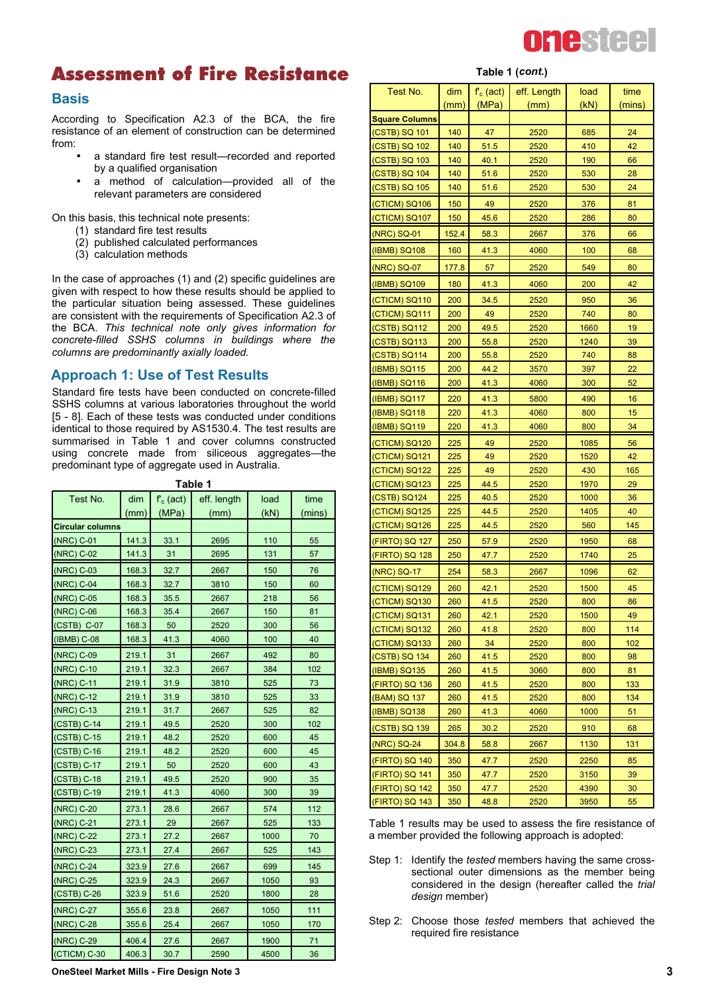

## **Assessment of Fire Resistance** Table 1 (*cont.*)

#### **B a s is**

According to Specification A2.3 of the BCA, the fire resistance of an element of construction can be determined from:

- a standard fire test result-recorded and reported by a qualified organisation
- a method of calculation-provided all of the relevant parameters are considered

On this basis, this technical note presents:

- $(1)$  standard fire test results
- (2) published calculated performances
- (3) calculation methods

In the case of approaches  $(1)$  and  $(2)$  specific guidelines are given with respect to how these results should be applied to the particular situation being assessed. These guidelines are consistent with the requirements of Specification A2.3 of the BCA. *This technical note only gives information for c o n c re te - fille d S S H S c o lu m n s in b u ild in g s w h e re th e columns are predominantly axially loaded.* 

#### **Approach 1: Use of Test Results**

Standard fire tests have been conducted on concrete-filled SSHS columns at various laboratories throughout the world [5 - 8]. Each of these tests was conducted under conditions identical to those required by AS1530.4. The test results are summarised in Table 1 and cover columns constructed using concrete made from siliceous aggregates-the predominant type of aggregate used in Australia.

**T a b le 1**

| Test No.                | dim   | $f_c$ (act) | eff. length | load | time   |
|-------------------------|-------|-------------|-------------|------|--------|
|                         | (mm)  | (MPa)       | (mm)        | (kN) | (mins) |
| <b>Circular columns</b> |       |             |             |      |        |
| (NRC) C-01              | 141.3 | 33.1        | 2695        | 110  | 55     |
| (NRC) C-02              | 141.3 | 31          | 2695        | 131  | 57     |
| (NRC) C-03              | 168.3 | 32.7        | 2667        | 150  | 76     |
| (NRC) C-04              | 168.3 | 32.7        | 3810        | 150  | 60     |
| (NRC) C-05              | 168.3 | 35.5        | 2667        | 218  | 56     |
| (NRC) C-06              | 168.3 | 35.4        | 2667        | 150  | 81     |
| (CSTB) C-07             | 168.3 | 50          | 2520        | 300  | 56     |
| (IBMB) C-08             | 168.3 | 41.3        | 4060        | 100  | 40     |
| (NRC) C-09              | 219.1 | 31          | 2667        | 492  | 80     |
| (NRC) C-10              | 219.1 | 32.3        | 2667        | 384  | 102    |
| (NRC) C-11              | 219.1 | 31.9        | 3810        | 525  | 73     |
| (NRC) C-12              | 219.1 | 31.9        | 3810        | 525  | 33     |
| (NRC) C-13              | 219.1 | 31.7        | 2667        | 525  | 82     |
| (CSTB) C-14             | 219.1 | 49.5        | 2520        | 300  | 102    |
| (CSTB) C-15             | 219.1 | 48.2        | 2520        | 600  | 45     |
| (CSTB) C-16             | 219.1 | 48.2        | 2520        | 600  | 45     |
| (CSTB) C-17             | 219.1 | 50          | 2520        | 600  | 43     |
| $(CSTB) C-18$           | 219.1 | 49.5        | 2520        | 900  | 35     |
| (CSTB) C-19             | 219.1 | 41.3        | 4060        | 300  | 39     |
| (NRC) C-20              | 273.1 | 28.6        | 2667        | 574  | 112    |
| (NRC) C-21              | 273.1 | 29          | 2667        | 525  | 133    |
| (NRC) C-22              | 273.1 | 27.2        | 2667        | 1000 | 70     |
| (NRC) C-23              | 273.1 | 27.4        | 2667        | 525  | 143    |
| (NRC) C-24              | 323.9 | 27.6        | 2667        | 699  | 145    |
| (NRC) C-25              | 323.9 | 24.3        | 2667        | 1050 | 93     |
| (CSTB) C-26             | 323.9 | 51.6        | 2520        | 1800 | 28     |
| (NRC) C-27              | 355.6 | 23.8        | 2667        | 1050 | 111    |
| (NRC) C-28              | 355.6 | 25.4        | 2667        | 1050 | 170    |
| (NRC) C-29              | 406.4 | 27.6        | 2667        | 1900 | 71     |
| (CTICM) C-30            | 406.3 | 30.7        | 2590        | 4500 | 36     |

| Test No.              | dim        | $f_c$ (act) | eff. Length | load | time   |
|-----------------------|------------|-------------|-------------|------|--------|
|                       | (mm)       | (MPa)       | (mm)        | (KN) | (mins) |
| <b>Square Columns</b> |            |             |             |      |        |
| (CSTB) SQ 101         | 140        | 47          | 2520        | 685  | 24     |
| (CSTB) SQ 102         | 140        | 51.5        | 2520        | 410  | 42     |
| (CSTB) SQ 103         | 140        | 40.1        | 2520        | 190  | 66     |
| (CSTB) SQ 104         | 140        | 51.6        | 2520        | 530  | 28     |
| (CSTB) SQ 105         | 140        | 51.6        | 2520        | 530  | 24     |
| (CTICM) SQ106         | 150        | 49          | 2520        | 376  | 81     |
| (CTICM) SQ107         | 150        | 45.6        | 2520        | 286  | 80     |
| (NRC) SQ-01           | 152.4      | 58.3        | 2667        | 376  | 66     |
| (IBMB) SQ108          | 160        | 41.3        | 4060        | 100  | 68     |
| (NRC) SQ-07           | 177.8      | 57          | 2520        | 549  | 80     |
| (IBMB) SQ109          | 180        | 41.3        | 4060        | 200  | 42     |
| (CTICM) SQ110         | 200        | 34.5        | 2520        | 950  | 36     |
| (CTICM) SQ111         | 200        | 49          | 2520        | 740  | 80     |
| (CSTB) SQ112          | 200        | 49.5        | 2520        | 1660 | 19     |
| (CSTB) SQ113          | <b>200</b> | 55.8        | 2520        | 1240 | 39     |
| (CSTB) SQ114          | <b>200</b> | 55.8        | 2520        | 740  | 88     |
| $(IBMB)$ SQ115        | 200        | 44.2        | 3570        | 397  | 22     |
| (IBMB) SQ116          | 200        | 41.3        | 4060        | 300  | 52     |
| (IBMB) SQ117          | 220        | 41.3        | 5800        | 490  | 16     |
| (IBMB) SQ118          | 220        | 41.3        | 4060        | 800  | 15     |
| $(IBMB)$ SQ119        | <u>220</u> | 41.3        | 4060        | 800  | 34     |
| (CTICM) SQ120         | 225        | 49          | 2520        | 1085 | 56     |
| (CTICM) SQ121         | 225        | 49          | 2520        | 1520 | 42     |
| (CTICM) SQ122         | 225        | 49          | 2520        | 430  | 165    |
| (CTICM) SQ123         | <u>225</u> | 44.5        | 2520        | 1970 | 29     |
| (CSTB) SQ124          | 225        | 40.5        | 2520        | 1000 | 36     |
| (CTICM) SQ125         | <u>225</u> | 44.5        | 2520        | 1405 | 40     |
| (CTICM) SQ126         | <u>225</u> | 44.5        | 2520        | 560  | 145    |
| (FIRTO) SQ 127        | 250        | 57.9        | 2520        | 1950 | 68     |
| (FIRTO) SQ 128        | 250        | 47.7        | 2520        | 1740 | 25     |
| (NRC) SQ-17           | 254        | 58.3        | 2667        | 1096 | 62     |
| (CTICM) SQ129         | 260        | 42.1        | 2520        | 1500 | 45     |
| (CTICM) SQ130         | 260        | 41.5        | 2520        | 800  | 86     |
| (CTICM) SQ131         | 260        | 42.1        | 2520        | 1500 | 49     |
| (CTICM) SQ132         | 260        | 41.8        | 2520        | 800  | 114    |
| (CTICM) SQ133         | 260        | 34          | 2520        | 800  | 102    |
| (CSTB) SQ 134         | 260        | 41.5        | 2520        | 800  | 98     |
| $(IBMB)$ SQ135        | 260        | 41.5        | 3060        | 800  | 81     |
| (FIRTO) SQ 136        | 260        | 41.5        | 2520        | 800  | 133    |
| (BAM) SQ 137          | <u>260</u> | 41.5        | 2520        | 800  | 134    |
| (IBMB) SQ138          | 260        | 41.3        | 4060        | 1000 | 51     |
| (CSTB) SQ 139         | 265        | 30.2        | 2520        | 910  | 68     |
| (NRC) SQ-24           | 304.8      | 58.8        | 2667        | 1130 | 131    |
| (FIRTO) SQ 140        | 350        | 47.7        | 2520        | 2250 | 85     |
| (FIRTO) SQ 141        | 350        | 47.7        | 2520        | 3150 | 39     |
| (FIRTO) SQ 142        | 350        | 47.7        | 2520        | 4390 | 30     |
| (FIRTO) SQ 143        | 350        | 48.8        | 2520        | 3950 | 55     |

Table 1 results may be used to assess the fire resistance of a member provided the following approach is adopted:

- Step 1: Identify the *tested* members having the same crosssectional outer dimensions as the member being considered in the design (hereafter called the *trial design* member)
- Step 2: Choose those *tested* members that achieved the required fire resistance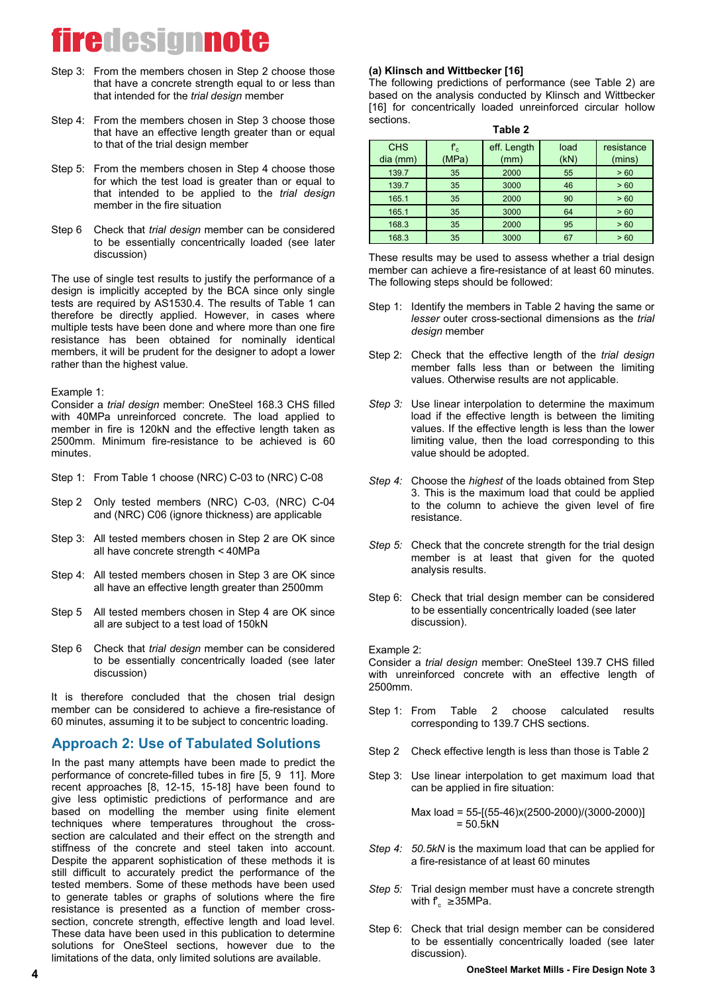- Step 3: From the members chosen in Step 2 choose those that have a concrete strength equal to or less than that intended for the *trial design* member
- Step 4: From the members chosen in Step 3 choose those that have an effective length greater than or equal to that of the trial design member
- Step 5: From the members chosen in Step 4 choose those for which the test load is greater than or equal to that intended to be applied to the *trial design* member in the fire situation
- Step 6 Check that *trial design* member can be considered to be essentially concentrically loaded (see later discussion)

The use of single test results to justify the performance of a design is implicitly accepted by the BCA since only single tests are required by AS1530.4. The results of Table 1 can therefore be directly applied. However, in cases where multiple tests have been done and where more than one fire resistance has been obtained for nominally identical members, it will be prudent for the designer to adopt a lower rather than the highest value.

Example  $1$ :

Consider a *trial design* member: OneSteel 168.3 CHS filled with 40MPa unreinforced concrete. The load applied to member in fire is 120kN and the effective length taken as 2500mm. Minimum fire-resistance to be achieved is 60 minutes.

- Step 1: From Table 1 choose (NRC) C-03 to (NRC) C-08
- Step 2 Only tested members (NRC) C-03, (NRC) C-04 and (NRC) C06 (ignore thickness) are applicable
- Step 3: All tested members chosen in Step 2 are OK since all have concrete strength < 40MPa
- Step 4: All tested members chosen in Step 3 are OK since all have an effective length greater than 2500mm
- Step 5 All tested members chosen in Step 4 are OK since all are subject to a test load of 150kN
- Step 6 Check that *trial design* member can be considered to be essentially concentrically loaded (see later discussion)

It is therefore concluded that the chosen trial design member can be considered to achieve a fire-resistance of 60 minutes, assuming it to be subject to concentric loading.

### **Approach 2: Use of Tabulated Solutions**

In the past many attempts have been made to predict the performance of concrete-filled tubes in fire [5, 9 11]. More  $r$  recent approaches  $[8, 12-15, 15-18]$  have been found to give less optimistic predictions of performance and are based on modelling the member using finite element te chniques where temperatures throughout the crosssection are calculated and their effect on the strength and stiffness of the concrete and steel taken into account. Despite the apparent sophistication of these methods it is still difficult to accurately predict the performance of the tested members. Some of these methods have been used to generate tables or graphs of solutions where the fire resistance is presented as a function of member crosssection, concrete strength, effective length and load level. These data have been used in this publication to determine solutions for OneSteel sections, however due to the limitations of the data, only limited solutions are available.

#### (a) Klinsch and Wittbecker [16]

**T a b le 2** The following predictions of performance (see Table 2) are based on the analysis conducted by Klinsch and Wittbecker [16] for concentrically loaded unreinforced circular hollow sections.

| Table z    |                   |             |      |            |  |
|------------|-------------------|-------------|------|------------|--|
| <b>CHS</b> | ${\sf f}_{\rm c}$ | eff. Length | load | resistance |  |
| dia (mm)   | (MPa)             | (mm)        | (kN) | (mins)     |  |
| 139.7      | 35                | 2000        | 55   | > 60       |  |
| 139.7      | 35                | 3000        | 46   | > 60       |  |
| 165.1      | 35                | 2000        | 90   | > 60       |  |
| 165.1      | 35                | 3000        | 64   | > 60       |  |
| 168.3      | 35                | 2000        | 95   | > 60       |  |

These results may be used to assess whether a trial design member can achieve a fire-resistance of at least 60 minutes. The following steps should be followed:

168.3 | 35 | 3000 | 67 | >6

- Step 1: Identify the members in Table 2 having the same or *lesser* outer cross-sectional dimensions as the *trial d e s ig n* m em ber
- Step 2: Check that the effective length of the *trial design* member falls less than or between the limiting values. Otherwise results are not applicable.
- *Step 3:* Use linear interpolation to determine the maximum load if the effective length is between the limiting values. If the effective length is less than the lower limiting value, then the load corresponding to this value should be adopted.
- *Step 4:* Choose the *highest* of the loads obtained from Step 3. This is the maximum load that could be applied to the column to achieve the given level of fire resistance.
- *Step 5:* Check that the concrete strength for the trial design member is at least that given for the quoted analysis results.
- Step 6: Check that trial design member can be considered to be essentially concentrically loaded (see later discussion).

Example 2:

Consider a *trial design* member: OneSteel 139.7 CHS filled with unreinforced concrete with an effective length of 2500mm.

- Step 1: From Table 2 choose calculated results corresponding to 139.7 CHS sections.
- Step 2 Check effective length is less than those is Table 2
- Step 3: Use linear interpolation to get maximum load that can be applied in fire situation:

Max load =  $55-[ (55-46)x(2500-2000)/(3000-2000)]$  $= 50.5 kN$ 

- *Sten 4: 50.5kN* is the maximum load that can be applied for a fire-resistance of at least 60 minutes
- *Step 5:* Trial design member must have a concrete strength with  $f_c \geq 35 MPa$ .
- Step 6: Check that trial design member can be considered to be essentially concentrically loaded (see later discussion).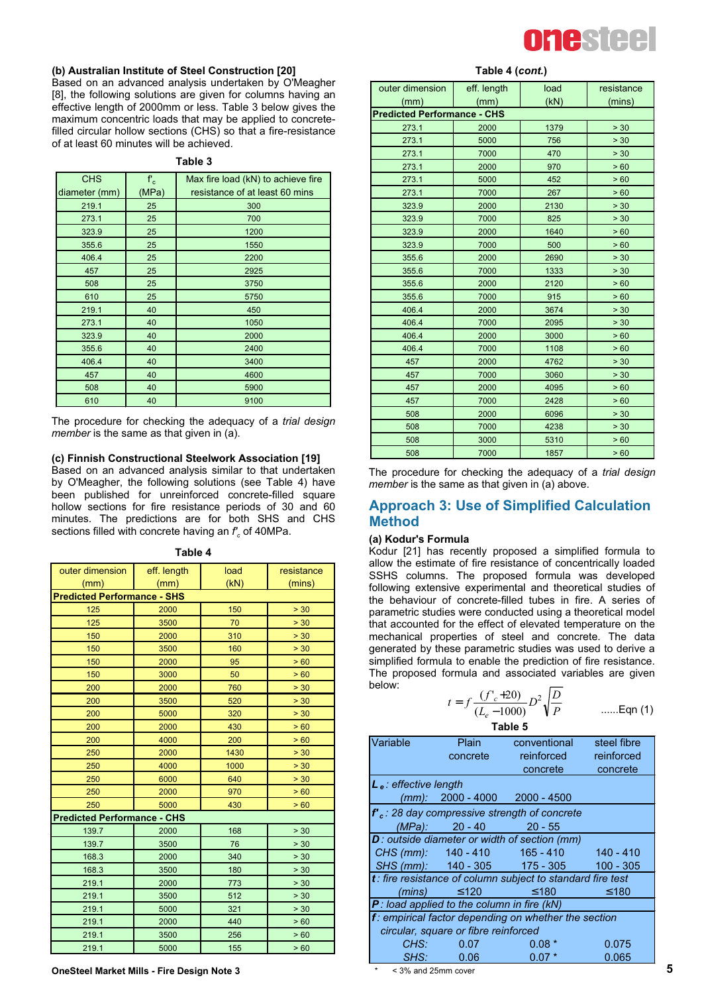

#### **(b) Australian Institute of Steel Construction [20]**

Based on an advanced analysis undertaken by O'Meagher [8], the following solutions are given for columns having an effective length of 2000mm or less. Table 3 below gives the maximum concentric loads that may be applied to concretefilled circular hollow sections (CHS) so that a fire-resistance of at least 60 minutes will be achieved.

| зюн |  |
|-----|--|
|-----|--|

| <b>CHS</b>    | $\mathbf{f}_\mathrm{c}$ | Max fire load (kN) to achieve fire |
|---------------|-------------------------|------------------------------------|
| diameter (mm) | (MPa)                   | resistance of at least 60 mins     |
| 219.1         | 25                      | 300                                |
| 273.1         | 25                      | 700                                |
| 323.9         | 25                      | 1200                               |
| 355.6         | 25                      | 1550                               |
| 406.4         | 25                      | 2200                               |
| 457           | 25                      | 2925                               |
| 508           | 25                      | 3750                               |
| 610           | 25                      | 5750                               |
| 219.1         | 40                      | 450                                |
| 273.1         | 40                      | 1050                               |
| 323.9         | 40                      | 2000                               |
| 355.6         | 40                      | 2400                               |
| 406.4         | 40                      | 3400                               |
| 457           | 40                      | 4600                               |
| 508           | 40                      | 5900                               |
| 610           | 40                      | 9100                               |

The procedure for checking the adequacy of a *trial design member* is the same as that given in (a).

#### **(c) Finnish Constructional Steelwork Association [19]**

Based on an advanced analysis similar to that undertaken by O'Meagher, the following solutions (see Table 4) have been published for unreinforced concrete-filled square hollow sections for fire resistance periods of 30 and 60 minutes. The predictions are for both SHS and CHS sections filled with concrete having an  $f_c$  of 40MPa.

| outer dimension                    | eff. length | load | resistance |
|------------------------------------|-------------|------|------------|
| (mm)                               | (mm)        | (kN) | (mins)     |
| <b>Predicted Performance - SHS</b> |             |      |            |
| 125                                | 2000        | 150  | > 30       |
| 125                                | 3500        | 70   | > 30       |
| 150                                | 2000        | 310  | > 30       |
| 150                                | 3500        | 160  | > 30       |
| 150                                | 2000        | 95   | > 60       |
| 150                                | 3000        | 50   | > 60       |
| 200                                | 2000        | 760  | > 30       |
| 200                                | 3500        | 520  | > 30       |
| 200                                | 5000        | 320  | > 30       |
| 200                                | 2000        | 430  | >60        |
| 200                                | 4000        | 200  | > 60       |
| 250                                | 2000        | 1430 | > 30       |
| 250                                | 4000        | 1000 | > 30       |
| 250                                | 6000        | 640  | > 30       |
| 250                                | 2000        | 970  | >60        |
| 250                                | 5000        | 430  | > 60       |
| <b>Predicted Performance - CHS</b> |             |      |            |
| 139.7                              | 2000        | 168  | > 30       |
| 139.7                              | 3500        | 76   | > 30       |
| 168.3                              | 2000        | 340  | > 30       |
| 168.3                              | 3500        | 180  | > 30       |
| 219.1                              | 2000        | 773  | > 30       |
| 219.1                              | 3500        | 512  | > 30       |
| 219.1                              | 5000        | 321  | > 30       |
| 219.1                              | 2000        | 440  | > 60       |
| 219.1                              | 3500        | 256  | > 60       |
| 219.1                              | 5000        | 155  | > 60       |

**T a b le 4**

**OneSteel Market Mills - Fire Design Note 3** 

| Table 4 (cont.) |  |
|-----------------|--|
|-----------------|--|

| outer dimension                    | eff. length | load | resistance |
|------------------------------------|-------------|------|------------|
| (mm)                               | (mm)        | (kN) | (mins)     |
| <b>Predicted Performance - CHS</b> |             |      |            |
| 273.1                              | 2000        | 1379 | > 30       |
| 273.1                              | 5000        | 756  | > 30       |
| 273.1                              | 7000        | 470  | > 30       |
| 273.1                              | 2000        | 970  | > 60       |
| 273.1                              | 5000        | 452  | > 60       |
| 273.1                              | 7000        | 267  | > 60       |
| 323.9                              | 2000        | 2130 | > 30       |
| 323.9                              | 7000        | 825  | > 30       |
| 323.9                              | 2000        | 1640 | >60        |
| 323.9                              | 7000        | 500  | > 60       |
| 355.6                              | 2000        | 2690 | > 30       |
| 355.6                              | 7000        | 1333 | > 30       |
| 355.6                              | 2000        | 2120 | > 60       |
| 355.6                              | 7000        | 915  | > 60       |
| 406.4                              | 2000        | 3674 | > 30       |
| 406.4                              | 7000        | 2095 | > 30       |
| 406.4                              | 2000        | 3000 | > 60       |
| 406.4                              | 7000        | 1108 | >60        |
| 457                                | 2000        | 4762 | > 30       |
| 457                                | 7000        | 3060 | > 30       |
| 457                                | 2000        | 4095 | > 60       |
| 457                                | 7000        | 2428 | > 60       |
| 508                                | 2000        | 6096 | > 30       |
| 508                                | 7000        | 4238 | > 30       |
| 508                                | 3000        | 5310 | > 60       |
| 508                                | 7000        | 1857 | > 60       |

The procedure for checking the adequacy of a *trial design member* is the same as that given in (a) above.

#### **Approach 3: Use of Simplified Calculation Method**

#### **(a) Kodur's Formula**

Kodur [21] has recently proposed a simplified formula to allow the estimate of fire resistance of concentrically loaded SSHS columns. The proposed formula was developed following extensive experimental and theoretical studies of the behaviour of concrete-filled tubes in fire. A series of parametric studies were conducted using a theoretical model that accounted for the effect of elevated temperature on the mechanical properties of steel and concrete. The data generated by these parametric studies was used to derive a simplified formula to enable the prediction of fire resistance. The proposed formula and associated variables are given below:

$$
t = f \frac{(f'_c + 20)}{(L_e - 1000)} D^2 \sqrt{\frac{D}{P}}
$$
 ......Eqn (1)

Table 5

| Variable                                 | Plain                                         | conventional                                                  | steel fibre |
|------------------------------------------|-----------------------------------------------|---------------------------------------------------------------|-------------|
|                                          | concrete                                      | reinforced reinforced                                         |             |
|                                          |                                               | concrete                                                      | concrete    |
| <b>L</b> <sub>e</sub> : effective length |                                               |                                                               |             |
|                                          | $(mm)$ : 2000 - 4000 2000 - 4500              |                                                               |             |
|                                          |                                               | $f_c$ : 28 day compressive strength of concrete               |             |
|                                          | $(MPa):$ 20 - 40 20 - 55                      |                                                               |             |
|                                          |                                               | D: outside diameter or width of section (mm)                  |             |
|                                          |                                               | CHS (mm): 140 - 410 165 - 410 140 - 410                       |             |
|                                          |                                               | SHS (mm): 140 - 305 175 - 305 100 - 305                       |             |
|                                          |                                               | $t$ : fire resistance of column subject to standard fire test |             |
|                                          | (mins) $\leq 120$                             | $≤ 180$                                                       | ≤ 180       |
|                                          | $P$ : load applied to the column in fire (kN) |                                                               |             |
|                                          |                                               | f: empirical factor depending on whether the section          |             |
|                                          | circular, square or fibre reinforced          |                                                               |             |
| CHS:                                     | 0.07                                          | $0.08*$                                                       | 0.075       |
| SHS:                                     | 0.06                                          | $0.07*$                                                       | 0.065       |

 $<$  3% and 25mm cover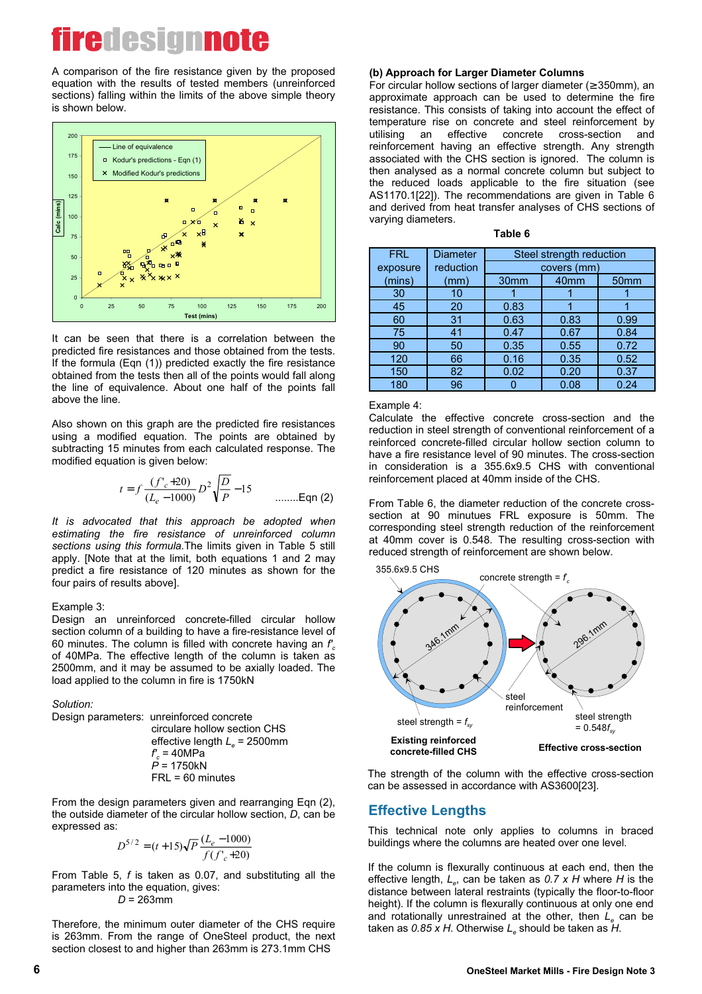A comparison of the fire resistance given by the proposed equation with the results of tested members (unreinforced sections) falling within the limits of the above simple theory is shown below.



It can be seen that there is a correlation between the predicted fire resistances and those obtained from the tests. If the formula (Eqn (1)) predicted exactly the fire resistance obtained from the tests then all of the points would fall along the line of equivalence. About one half of the points fall above the line

Also shown on this graph are the predicted fire resistances using a modified equation. The points are obtained by subtracting 15 minutes from each calculated response. The modified equation is given below:

$$
t = f \frac{(f'_c + 20)}{(L_e - 1000)} D^2 \sqrt{\frac{D}{P}} - 15
$$
 .......Eqn (2)

*It is advocated that this approach be adopted when* estimating the fire resistance of unreinforced column sections using this formula. The limits given in Table 5 still apply. [Note that at the limit, both equations 1 and 2 may predict a fire resistance of 120 minutes as shown for the four pairs of results above].

#### $Example 3$

Design an unreinforced concrete-filled circular hollow section column of a building to have a fire-resistance level of 60 minutes. The column is filled with concrete having an  $f_c$ of 40MPa. The effective length of the column is taken as 2500 mm, and it may be assumed to be axially loaded. The load applied to the column in fire is 1750kN

Solution:

Design parameters: unreinforced concrete circulare hollow section CHS effective length *L<sub>e</sub>* = 2500mm  $f_c = 40MPa$  *P* = 1750kN  $FRL = 60$  minutes

From the design parameters given and rearranging Eqn (2), the outside diameter of the circular hollow section, *D*, can be expressed as:

$$
D^{5/2} = (t+15)\sqrt{P} \frac{(L_e-1000)}{f(f'_c+20)}
$$

From Table 5, *f* is taken as 0.07, and substituting all the parameters into the equation, gives:

 $D = 263$ mm

Therefore, the minimum outer diameter of the CHS require is 263mm. From the range of OneSteel product, the next section closest to and higher than 263mm is 273.1mm CHS

#### **(b) Approach for Larger Diameter Columns**

For circular hollow sections of larger diameter ( $\geq$  350mm), an approximate approach can be used to determine the fire resistance. This consists of taking into account the effect of temperature rise on concrete and steel reinforcement by<br>utilising an effective concrete cross-section and utilising an effective concrete cross-section and reinforcement having an effective strength. Any strength associated with the CHS section is ignored. The column is then analysed as a normal concrete column but subject to the reduced loads applicable to the fire situation (see AS1170.1[22]). The recommendations are given in Table 6 and derived from heat transfer analyses of CHS sections of varving diameters.

| <b>FRL</b> | <b>Diameter</b> |                  | Steel strength reduction |                  |
|------------|-----------------|------------------|--------------------------|------------------|
| exposure   | reduction       |                  | covers (mm)              |                  |
| (mins)     | (mm)            | 30 <sub>mm</sub> | 40 <sub>mm</sub>         | 50 <sub>mm</sub> |
| 30         | 10              |                  |                          |                  |
| 45         | 20              | 0.83             |                          |                  |
| 60         | 31              | 0.63             | 0.83                     | 0.99             |
| 75         | 41              | 0.47             | 0.67                     | 0.84             |
| 90         | 50              | 0.35             | 0.55                     | 0.72             |
| 120        | 66              | 0.16             | 0.35                     | 0.52             |
| 150        | 82              | 0.02             | 0.20                     | 0.37             |
| 180        | 96              |                  | 0.08                     | 0.24             |

#### **Table 6**

#### Example 4:

Calculate the effective concrete cross-section and the reduction in steel strength of conventional reinforcement of a reinforced concrete-filled circular hollow section column to have a fire resistance level of 90 minutes. The cross-section in consideration is a 355.6x9.5 CHS with conventional reinforcement placed at 40mm inside of the CHS.

From Table 6, the diameter reduction of the concrete crosssection at 90 minutues FRL exposure is 50mm. The corresponding steel strength reduction of the reinforcement at 40mm cover is 0.548. The resulting cross-section with reduced strength of reinforcement are shown below.



The strength of the column with the effective cross-section can be assessed in accordance with AS3600[23].

#### **Effective Lengths**

This technical note only applies to columns in braced buildings where the columns are heated over one level.

If the column is flexurally continuous at each end, then the effective length,  $L_e$ , can be taken as 0.7 x H where H is the distance between lateral restraints (typically the floor-to-floor height). If the column is flexurally continuous at only one end and rotationally unrestrained at the other, then *L*<sub>e</sub> can be taken as  $0.85$  x H. Otherwise  $L<sub>e</sub>$  should be taken as  $H$ .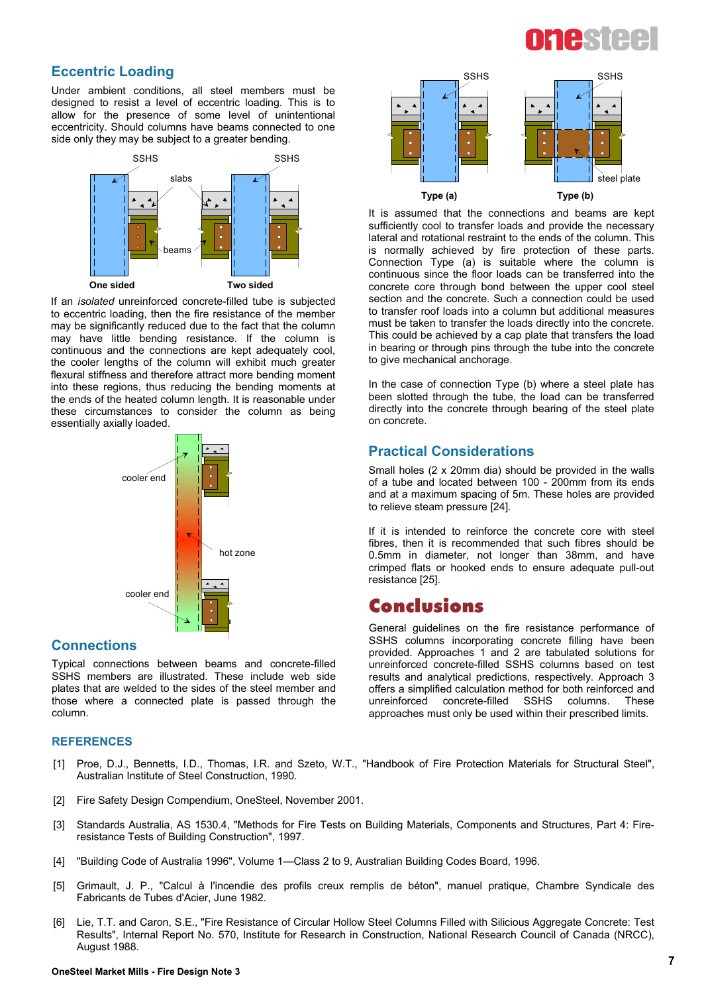#### **Eccentric Loading**

Under ambient conditions, all steel members must be designed to resist a level of eccentric loading. This is to allow for the presence of some level of unintentional eccentricity. Should columns have beams connected to one side only they may be subject to a greater bending.



If an *isolated* unreinforced concrete-filled tube is subjected to eccentric loading, then the fire resistance of the member may be significantly reduced due to the fact that the column may have little bending resistance. If the column is continuous and the connections are kept adequately cool, the cooler lengths of the column will exhibit much greater flexural stiffness and therefore attract more bending moment into these regions, thus reducing the bending moments at the ends of the heated column length. It is reasonable under these circumstances to consider the column as being essentially axially loaded.



#### **Connections**

Typical connections between beams and concrete-filled SSHS members are illustrated. These include web side plates that are welded to the sides of the steel member and those where a connected plate is passed through the column.

#### **REFERENCES**

- [1] Proe, D.J., Bennetts, I.D., Thomas, I.R. and Szeto, W.T., "Handbook of Fire Protection Materials for Structural Steel", Australian Institute of Steel Construction, 1990.
- [2] Fire Safety Design Compendium, OneSteel, November 2001.
- [3] Standards Australia, AS 1530.4, "Methods for Fire Tests on Building Materials, Components and Structures, Part 4: Fireresistance Tests of Building Construction", 1997.
- [4] "Building Code of Australia 1996", Volume 1—Class 2 to 9, Australian Building Codes Board, 1996.
- [5] Grimault, J. P., "Calcul à l'incendie des profils creux remplis de béton", manuel pratique, Chambre Syndicale des Fabricants de Tubes d'Acier, June 1982.
- [6] Lie, T.T. and Caron, S.E., "Fire Resistance of Circular Hollow Steel Columns Filled with Silicious Aggregate Concrete: Test Results", Internal Report No. 570, Institute for Research in Construction, National Research Council of Canada (NRCC), August 1988.



It is assumed that the connections and beams are kept sufficiently cool to transfer loads and provide the necessary lateral and rotational restraint to the ends of the column. This is normally achieved by fire protection of these parts. Connection Type (a) is suitable where the column is continuous since the floor loads can be transferred into the concrete core through bond between the upper cool steel section and the concrete. Such a connection could be used to transfer roof loads into a column but additional measures must be taken to transfer the loads directly into the concrete. This could be achieved by a cap plate that transfers the load in bearing or through pins through the tube into the concrete to give mechanical anchorage.

In the case of connection Type (b) where a steel plate has been slotted through the tube, the load can be transferred directly into the concrete through bearing of the steel plate on concrete.

#### **Practical Considerations**

Small holes (2  $\times$  20mm dia) should be provided in the walls of a tube and located between 100 - 200mm from its ends and at a maximum spacing of 5m. These holes are provided to relieve steam pressure [24].

If it is intended to reinforce the concrete core with steel fibres, then it is recommended that such fibres should be 0.5mm in diameter, not longer than 38mm, and have crimped flats or hooked ends to ensure adequate pull-out resistance [25].

### **Conclusions**

General quidelines on the fire resistance performance of SSHS columns incorporating concrete filling have been provided. Approaches 1 and 2 are tabulated solutions for unreinforced concrete-filled SSHS columns based on test results and analytical predictions, respectively. Approach 3 offers a simplified calculation method for both reinforced and unreinforced concrete-filled SSHS columns. These approaches must only be used within their prescribed limits.